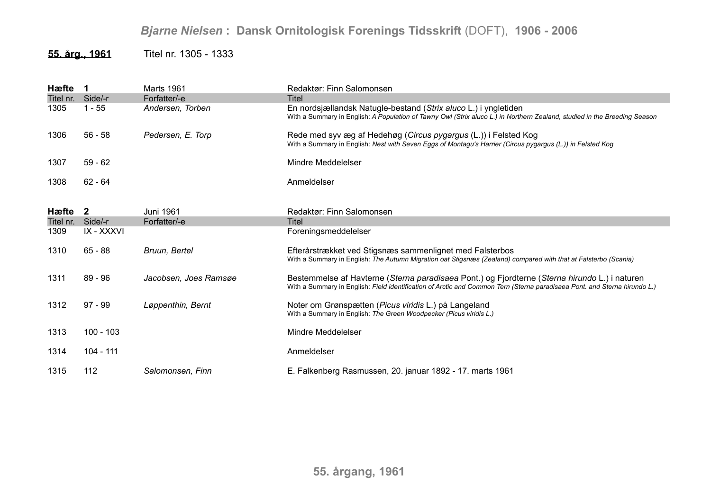## *Bjarne Nielsen* **: Dansk Ornitologisk Forenings Tidsskrift** (DOFT), **1906 - 2006**

## **55. årg., 1961** Titel nr. 1305 - 1333

| Hæfte     |             | Marts 1961            | Redaktør: Finn Salomonsen                                                                                                                                                                                                  |
|-----------|-------------|-----------------------|----------------------------------------------------------------------------------------------------------------------------------------------------------------------------------------------------------------------------|
| Titel nr. | Side/-r     | Forfatter/-e          | <b>Titel</b>                                                                                                                                                                                                               |
| 1305      | $1 - 55$    | Andersen, Torben      | En nordsjællandsk Natugle-bestand (Strix aluco L.) i yngletiden<br>With a Summary in English: A Population of Tawny Owl (Strix aluco L.) in Northern Zealand, studied in the Breeding Season                               |
| 1306      | $56 - 58$   | Pedersen, E. Torp     | Rede med syv æg af Hedehøg (Circus pygargus (L.)) i Felsted Kog<br>With a Summary in English: Nest with Seven Eggs of Montagu's Harrier (Circus pygargus (L.)) in Felsted Kog                                              |
| 1307      | $59 - 62$   |                       | Mindre Meddelelser                                                                                                                                                                                                         |
| 1308      | 62 - 64     |                       | Anmeldelser                                                                                                                                                                                                                |
|           |             |                       |                                                                                                                                                                                                                            |
| Hæfte 2   |             | Juni 1961             | Redaktør: Finn Salomonsen                                                                                                                                                                                                  |
| Titel nr. | Side/-r     | Forfatter/-e          | Titel                                                                                                                                                                                                                      |
| 1309      | IX - XXXVI  |                       | Foreningsmeddelelser                                                                                                                                                                                                       |
| 1310      | $65 - 88$   | Bruun, Bertel         | Efterårstrækket ved Stigsnæs sammenlignet med Falsterbos<br>With a Summary in English: The Autumn Migration oat Stigsnæs (Zealand) compared with that at Falsterbo (Scania)                                                |
| 1311      | $89 - 96$   | Jacobsen, Joes Ramsøe | Bestemmelse af Havterne (Sterna paradisaea Pont.) og Fjordterne (Sterna hirundo L.) i naturen<br>With a Summary in English: Field identification of Arctic and Common Tern (Sterna paradisaea Pont. and Sterna hirundo L.) |
| 1312      | $97 - 99$   | Løppenthin, Bernt     | Noter om Grønspætten (Picus viridis L.) på Langeland<br>With a Summary in English: The Green Woodpecker (Picus viridis L.)                                                                                                 |
| 1313      | $100 - 103$ |                       | Mindre Meddelelser                                                                                                                                                                                                         |
| 1314      | 104 - 111   |                       | Anmeldelser                                                                                                                                                                                                                |
| 1315      | 112         | Salomonsen, Finn      | E. Falkenberg Rasmussen, 20. januar 1892 - 17. marts 1961                                                                                                                                                                  |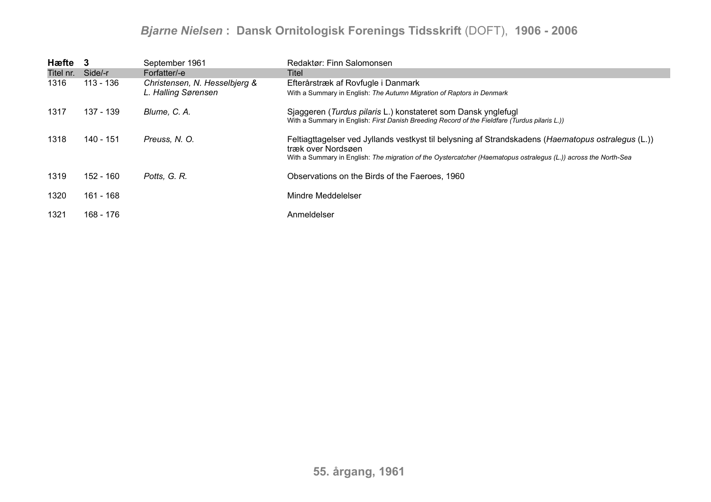## *Bjarne Nielsen* **: Dansk Ornitologisk Forenings Tidsskrift** (DOFT), **1906 - 2006**

| Hæfte 3   |           | September 1961                | Redaktør: Finn Salomonsen                                                                                                                                                                                                                   |
|-----------|-----------|-------------------------------|---------------------------------------------------------------------------------------------------------------------------------------------------------------------------------------------------------------------------------------------|
| Titel nr. | Side/-r   | Forfatter/-e                  | Titel                                                                                                                                                                                                                                       |
| 1316      | 113 - 136 | Christensen, N. Hesselbjerg & | Efterårstræk af Rovfugle i Danmark                                                                                                                                                                                                          |
|           |           | L. Halling Sørensen           | With a Summary in English: The Autumn Migration of Raptors in Denmark                                                                                                                                                                       |
| 1317      | 137 - 139 | Blume, C. A.                  | Sjaggeren (Turdus pilaris L.) konstateret som Dansk ynglefugl<br>With a Summary in English: First Danish Breeding Record of the Fieldfare (Turdus pilaris L.))                                                                              |
| 1318      | 140 - 151 | Preuss, N. O.                 | Feltiagttagelser ved Jyllands vestkyst til belysning af Strandskadens (Haematopus ostralegus (L.))<br>træk over Nordsøen<br>With a Summary in English: The migration of the Oystercatcher (Haematopus ostralegus (L.)) across the North-Sea |
| 1319      | 152 - 160 | Potts, G. R.                  | Observations on the Birds of the Faeroes, 1960                                                                                                                                                                                              |
| 1320      | 161 - 168 |                               | Mindre Meddelelser                                                                                                                                                                                                                          |
| 1321      | 168 - 176 |                               | Anmeldelser                                                                                                                                                                                                                                 |